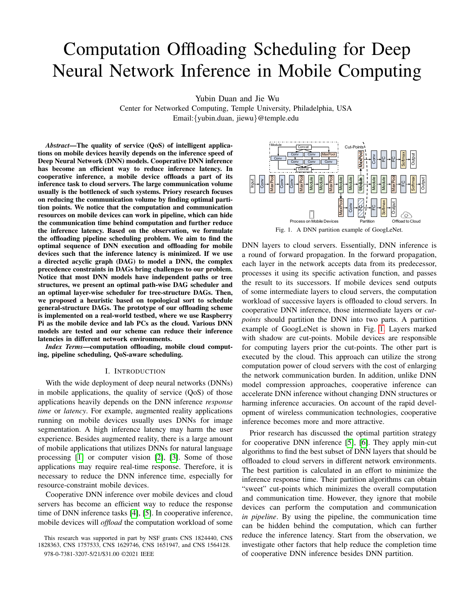# Computation Offloading Scheduling for Deep Neural Network Inference in Mobile Computing

Yubin Duan and Jie Wu

Center for Networked Computing, Temple University, Philadelphia, USA Email:{yubin.duan, jiewu}@temple.edu

*Abstract*—The quality of service (QoS) of intelligent applications on mobile devices heavily depends on the inference speed of Deep Neural Network (DNN) models. Cooperative DNN inference has become an efficient way to reduce inference latency. In cooperative inference, a mobile device offloads a part of its inference task to cloud servers. The large communication volume usually is the bottleneck of such systems. Priory research focuses on reducing the communication volume by finding optimal partition points. We notice that the computation and communication resources on mobile devices can work in pipeline, which can hide the communication time behind computation and further reduce the inference latency. Based on the observation, we formulate the offloading pipeline scheduling problem. We aim to find the optimal sequence of DNN execution and offloading for mobile devices such that the inference latency is minimized. If we use a directed acyclic graph (DAG) to model a DNN, the complex precedence constraints in DAGs bring challenges to our problem. Notice that most DNN models have independent paths or tree structures, we present an optimal path-wise DAG scheduler and an optimal layer-wise scheduler for tree-structure DAGs. Then, we proposed a heuristic based on topological sort to schedule general-structure DAGs. The prototype of our offloading scheme is implemented on a real-world testbed, where we use Raspberry Pi as the mobile device and lab PCs as the cloud. Various DNN models are tested and our scheme can reduce their inference latencies in different network environments.

*Index Terms*—computation offloading, mobile cloud computing, pipeline scheduling, QoS-aware scheduling.

### I. INTRODUCTION

With the wide deployment of deep neural networks (DNNs) in mobile applications, the quality of service (QoS) of those applications heavily depends on the DNN inference *response time* or *latency*. For example, augmented reality applications running on mobile devices usually uses DNNs for image segmentation. A high inference latency may harm the user experience. Besides augmented reality, there is a large amount of mobile applications that utilizes DNNs for natural language processing  $\begin{bmatrix} 1 \end{bmatrix}$  or computer vision  $\begin{bmatrix} 2 \end{bmatrix}$ ,  $\begin{bmatrix} 3 \end{bmatrix}$ . Some of those applications may require real-time response. Therefore, it is necessary to reduce the DNN inference time, especially for resource-constraint mobile devices.

Cooperative DNN inference over mobile devices and cloud servers has become an efficient way to reduce the response time of DNN inference tasks  $[4]$ ,  $[5]$ . In cooperative inference, mobile devices will *offload* the computation workload of some



DNN layers to cloud servers. Essentially, DNN inference is a round of forward propagation. In the forward propagation, each layer in the network accepts data from its predecessor, processes it using its specific activation function, and passes the result to its successors. If mobile devices send outputs of some intermediate layers to cloud servers, the computation workload of successive layers is offloaded to cloud servers. In cooperative DNN inference, those intermediate layers or *cutpoints* should partition the DNN into two parts. A partition example of GoogLeNet is shown in Fig.  $\boxed{1}$  Layers marked with shadow are cut-points. Mobile devices are responsible for computing layers prior the cut-points. The other part is executed by the cloud. This approach can utilize the strong computation power of cloud servers with the cost of enlarging the network communication burden. In addition, unlike DNN model compression approaches, cooperative inference can accelerate DNN inference without changing DNN structures or harming inference accuracies. On account of the rapid development of wireless communication technologies, cooperative inference becomes more and more attractive.

Prior research has discussed the optimal partition strategy for cooperative DNN inference  $[5]$ ,  $[6]$ . They apply min-cut algorithms to find the best subset of DNN layers that should be offloaded to cloud servers in different network environments. The best partition is calculated in an effort to minimize the inference response time. Their partition algorithms can obtain "sweet" cut-points which minimizes the overall computation and communication time. However, they ignore that mobile devices can perform the computation and communication *in pipeline*. By using the pipeline, the communication time can be hidden behind the computation, which can further reduce the inference latency. Start from the observation, we investigate other factors that help reduce the completion time of cooperative DNN inference besides DNN partition.

This research was supported in part by NSF grants CNS 1824440, CNS 1828363, CNS 1757533, CNS 1629746, CNS 1651947, and CNS 1564128. 978-0-7381-3207-5/21/\$31.00 ©2021 IEEE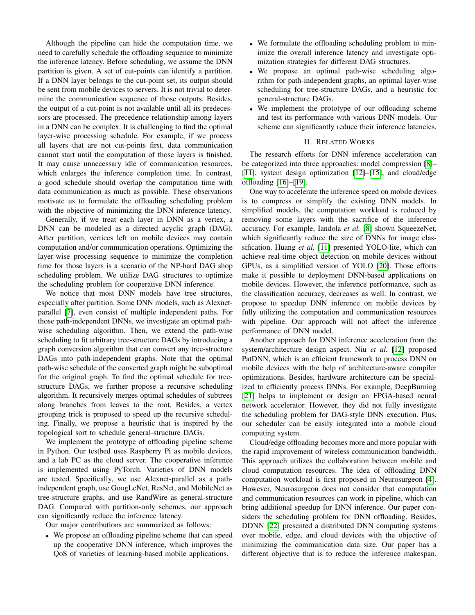Although the pipeline can hide the computation time, we need to carefully schedule the offloading sequence to minimize the inference latency. Before scheduling, we assume the DNN partition is given. A set of cut-points can identify a partition. If a DNN layer belongs to the cut-point set, its output should be sent from mobile devices to servers. It is not trivial to determine the communication sequence of those outputs. Besides, the output of a cut-point is not available until all its predecessors are processed. The precedence relationship among layers in a DNN can be complex. It is challenging to find the optimal layer-wise processing schedule. For example, if we process all layers that are not cut-points first, data communication cannot start until the computation of those layers is finished. It may cause unnecessary idle of communication resources, which enlarges the inference completion time. In contrast, a good schedule should overlap the computation time with data communication as much as possible. These observations motivate us to formulate the offloading scheduling problem with the objective of minimizing the DNN inference latency.

Generally, if we treat each layer in DNN as a vertex, a DNN can be modeled as a directed acyclic graph (DAG). After partition, vertices left on mobile devices may contain computation and/or communication operations. Optimizing the layer-wise processing sequence to minimize the completion time for those layers is a scenario of the NP-hard DAG shop scheduling problem. We utilize DAG structures to optimize the scheduling problem for cooperative DNN inference.

We notice that most DNN models have tree structures, especially after partition. Some DNN models, such as Alexnetparallel [7], even consist of multiple independent paths. For those path-independent DNNs, we investigate an optimal pathwise scheduling algorithm. Then, we extend the path-wise scheduling to fit arbitrary tree-structure DAGs by introducing a graph conversion algorithm that can convert any tree-structure DAGs into path-independent graphs. Note that the optimal path-wise schedule of the converted graph might be suboptimal for the original graph. To find the optimal schedule for treestructure DAGs, we further propose a recursive scheduling algorithm. It recursively merges optimal schedules of subtrees along branches from leaves to the root. Besides, a vertex grouping trick is proposed to speed up the recursive scheduling. Finally, we propose a heuristic that is inspired by the topological sort to schedule general-structure DAGs.

We implement the prototype of offloading pipeline scheme in Python. Our testbed uses Raspberry Pi as mobile devices, and a lab PC as the cloud server. The cooperative inference is implemented using PyTorch. Varieties of DNN models are tested. Specifically, we use Alexnet-parallel as a pathindependent graph, use GoogLeNet, ResNet, and MobileNet as tree-structure graphs, and use RandWire as general-structure DAG. Compared with partition-only schemes, our approach can significantly reduce the inference latency.

Our major contributions are summarized as follows:

• We propose an offloading pipeline scheme that can speed up the cooperative DNN inference, which improves the QoS of varieties of learning-based mobile applications.

- We formulate the offloading scheduling problem to minimize the overall inference latency and investigate optimization strategies for different DAG structures.
- We propose an optimal path-wise scheduling algorithm for path-independent graphs, an optimal layer-wise scheduling for tree-structure DAGs, and a heuristic for general-structure DAGs.
- We implement the prototype of our offloading scheme and test its performance with various DNN models. Our scheme can significantly reduce their inference latencies.

## II. RELATED WORKS

The research efforts for DNN inference acceleration can be categorized into three approaches: model compression [8]–  $[11]$ , system design optimization  $[12]$ – $[15]$ , and cloud/edge offloading [16]–[19].

One way to accelerate the inference speed on mobile devices is to compress or simplify the existing DNN models. In simplified models, the computation workload is reduced by removing some layers with the sacrifice of the inference accuracy. For example, Iandola *et al.* [8] shown SqueezeNet, which significantly reduce the size of DNNs for image classification. Huang *et al.* [11] presented YOLO-lite, which can achieve real-time object detection on mobile devices without GPUs, as a simplified version of YOLO [20]. Those efforts make it possible to deployment DNN-based applications on mobile devices. However, the inference performance, such as the classification accuracy, decreases as well. In contrast, we propose to speedup DNN inference on mobile devices by fully utilizing the computation and communication resources with pipeline. Our approach will not affect the inference performance of DNN model.

Another approach for DNN inference acceleration from the system/architecture design aspect. Niu *et al.* [12] proposed PatDNN, which is an efficient framework to process DNN on mobile devices with the help of architecture-aware compiler optimizations. Besides, hardware architecture can be specialized to efficiently process DNNs. For example, DeepBurning [21] helps to implement or design an FPGA-based neural network accelerator. However, they did not fully investigate the scheduling problem for DAG-style DNN execution. Plus, our scheduler can be easily integrated into a mobile cloud computing system.

Cloud/edge offloading becomes more and more popular with the rapid improvement of wireless communication bandwidth. This approach utilizes the collaboration between mobile and cloud computation resources. The idea of offloading DNN computation workload is first proposed in Neurosurgeon [4]. However, Neurosurgeon does not consider that computation and communication resources can work in pipeline, which can bring additional speedup for DNN inference. Our paper considers the scheduling problem for DNN offloading. Besides, DDNN [22] presented a distributed DNN computing systems over mobile, edge, and cloud devices with the objective of minimizing the communication data size. Our paper has a different objective that is to reduce the inference makespan.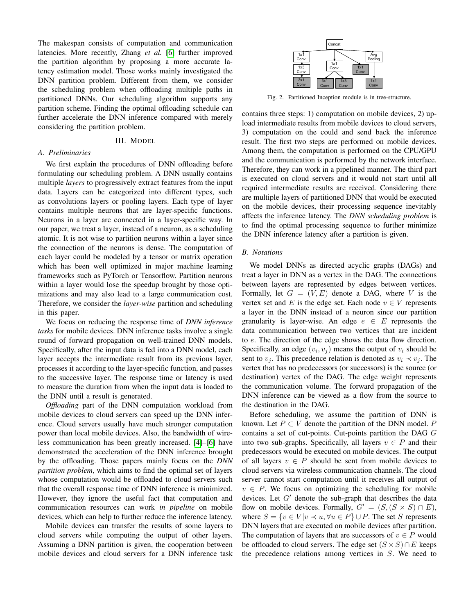The makespan consists of computation and communication latencies. More recently, Zhang *et al.* [6] further improved the partition algorithm by proposing a more accurate latency estimation model. Those works mainly investigated the DNN partition problem. Different from them, we consider the scheduling problem when offloading multiple paths in partitioned DNNs. Our scheduling algorithm supports any partition scheme. Finding the optimal offloading schedule can further accelerate the DNN inference compared with merely considering the partition problem.

# III. MODEL

# *A. Preliminaries*

We first explain the procedures of DNN offloading before formulating our scheduling problem. A DNN usually contains multiple *layers* to progressively extract features from the input data. Layers can be categorized into different types, such as convolutions layers or pooling layers. Each type of layer contains multiple neurons that are layer-specific functions. Neurons in a layer are connected in a layer-specific way. In our paper, we treat a layer, instead of a neuron, as a scheduling atomic. It is not wise to partition neurons within a layer since the connection of the neurons is dense. The computation of each layer could be modeled by a tensor or matrix operation which has been well optimized in major machine learning frameworks such as PyTorch or Tensorflow. Partition neurons within a layer would lose the speedup brought by those optimizations and may also lead to a large communication cost. Therefore, we consider the *layer-wise* partition and scheduling in this paper.

We focus on reducing the response time of *DNN inference tasks* for mobile devices. DNN inference tasks involve a single round of forward propagation on well-trained DNN models. Specifically, after the input data is fed into a DNN model, each layer accepts the intermediate result from its previous layer, processes it according to the layer-specific function, and passes to the successive layer. The response time or latency is used to measure the duration from when the input data is loaded to the DNN until a result is generated.

*Offloading* part of the DNN computation workload from mobile devices to cloud servers can speed up the DNN inference. Cloud servers usually have much stronger computation power than local mobile devices. Also, the bandwidth of wireless communication has been greatly increased. [4]–[6] have demonstrated the acceleration of the DNN inference brought by the offloading. Those papers mainly focus on the *DNN partition problem*, which aims to find the optimal set of layers whose computation would be offloaded to cloud servers such that the overall response time of DNN inference is minimized. However, they ignore the useful fact that computation and communication resources can work *in pipeline* on mobile devices, which can help to further reduce the inference latency.

Mobile devices can transfer the results of some layers to cloud servers while computing the output of other layers. Assuming a DNN partition is given, the cooperation between mobile devices and cloud servers for a DNN inference task



Fig. 2. Partitioned Inception module is in tree-structure.

contains three steps: 1) computation on mobile devices, 2) upload intermediate results from mobile devices to cloud servers, 3) computation on the could and send back the inference result. The first two steps are performed on mobile devices. Among them, the computation is performed on the CPU/GPU and the communication is performed by the network interface. Therefore, they can work in a pipelined manner. The third part is executed on cloud servers and it would not start until all required intermediate results are received. Considering there are multiple layers of partitioned DNN that would be executed on the mobile devices, their processing sequence inevitably affects the inference latency. The *DNN scheduling problem* is to find the optimal processing sequence to further minimize the DNN inference latency after a partition is given.

## *B. Notations*

We model DNNs as directed acyclic graphs (DAGs) and treat a layer in DNN as a vertex in the DAG. The connections between layers are represented by edges between vertices. Formally, let  $G = (V, E)$  denote a DAG, where V is the vertex set and E is the edge set. Each node  $v \in V$  represents a layer in the DNN instead of a neuron since our partition granularity is layer-wise. An edge  $e \in E$  represents the data communication between two vertices that are incident to e. The direction of the edge shows the data flow direction. Specifically, an edge  $(v_i, v_j)$  means the output of  $v_i$  should be sent to  $v_j$ . This precedence relation is denoted as  $v_i \prec v_j$ . The vertex that has no predecessors (or successors) is the source (or destination) vertex of the DAG. The edge weight represents the communication volume. The forward propagation of the DNN inference can be viewed as a flow from the source to the destination in the DAG.

Before scheduling, we assume the partition of DNN is known. Let  $P \subset V$  denote the partition of the DNN model. P contains a set of cut-points. Cut-points partition the DAG G into two sub-graphs. Specifically, all layers  $v \in P$  and their predecessors would be executed on mobile devices. The output of all layers  $v \in P$  should be sent from mobile devices to cloud servers via wireless communication channels. The cloud server cannot start computation until it receives all output of  $v \in P$ . We focus on optimizing the scheduling for mobile devices. Let G' denote the sub-graph that describes the data<br>flow on mobile devices. Formally  $G' = (S(S \times S) \cap E)$ flow on mobile devices. Formally,  $G' = (S, (S \times S) \cap E),$ <br>where  $S = f_3 \in V |_{\mathcal{Y}} \neq \mathcal{Y} \forall \mathcal{Y} \in P \cup P$ . The set S represents where  $S = \{v \in V | v \prec u, \forall u \in P\} \cup P$ . The set S represents DNN layers that are executed on mobile devices after partition. The computation of layers that are successors of  $v \in P$  would be offloaded to cloud servers. The edge set  $(S \times S) \cap E$  keeps the precedence relations among vertices in S. We need to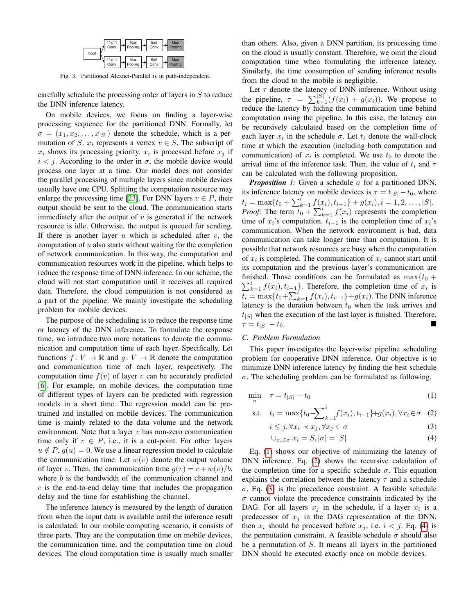

Fig. 3. Partitioned Alexnet-Parallel is in path-independent.

carefully schedule the processing order of layers in S to reduce the DNN inference latency.

On mobile devices, we focus on finding a layer-wise processing sequence for the partitioned DNN. Formally, let  $\sigma = (x_1, x_2, \ldots, x_{|S|})$  denote the schedule, which is a permutation of S.  $x_i$  represents a vertex  $v \in S$ . The subscript of  $x_i$  shows its processing priority.  $x_i$  is processed before  $x_j$  if  $i < j$ . According to the order in  $\sigma$ , the mobile device would process one layer at a time. Our model does not consider the parallel processing of multiple layers since mobile devices usually have one CPU. Splitting the computation resource may enlarge the processing time [23]. For DNN layers  $v \in P$ , their output should be sent to the cloud. The communication starts immediately after the output of  $v$  is generated if the network resource is idle. Otherwise, the output is queued for sending. If there is another layer  $u$  which is scheduled after  $v$ , the computation of  $u$  also starts without waiting for the completion of network communication. In this way, the computation and communication resources work in the pipeline, which helps to reduce the response time of DNN inference. In our scheme, the cloud will not start computation until it receives all required data. Therefore, the cloud computation is not considered as a part of the pipeline. We mainly investigate the scheduling problem for mobile devices.

The purpose of the scheduling is to reduce the response time or latency of the DNN inference. To formulate the response time, we introduce two more notations to denote the communication and computation time of each layer. Specifically, Let functions  $f: V \to \mathbb{R}$  and  $g: V \to \mathbb{R}$  denote the computation and communication time of each layer, respectively. The computation time  $f(v)$  of layer v can be accurately predicted [6]. For example, on mobile devices, the computation time of different types of layers can be predicted with regression models in a short time. The regression model can be pretrained and installed on mobile devices. The communication time is mainly related to the data volume and the network environment. Note that a layer  $v$  has non-zero communication time only if  $v \in P$ , i.e., it is a cut-point. For other layers  $u \notin P$ ,  $g(u)=0$ . We use a linear regression model to calculate the communication time. Let  $w(v)$  denote the output volume of layer v. Then, the communication time  $q(v) = c + w(v)/b$ , where  $b$  is the bandwidth of the communication channel and  $c$  is the end-to-end delay time that includes the propagation delay and the time for establishing the channel.

The inference latency is measured by the length of duration from when the input data is available until the inference result is calculated. In our mobile computing scenario, it consists of three parts. They are the computation time on mobile devices, the communication time, and the computation time on cloud devices. The cloud computation time is usually much smaller than others. Also, given a DNN partition, its processing time on the cloud is usually constant. Therefore, we omit the cloud computation time when formulating the inference latency. Similarly, the time consumption of sending inference results from the cloud to the mobile is negligible.

Let  $\tau$  denote the latency of DNN inference. Without using the pipeline,  $\tau = \sum_{k=1}^{|S|} (f(x_i) + g(x_i))$ . We propose to reduce the latency by hiding the communication time behind reduce the latency by hiding the communication time behind computation using the pipeline. In this case, the latency can be recursively calculated based on the completion time of each layer  $x_i$  in the schedule  $\sigma$ . Let  $t_i$  denote the wall-clock time at which the execution (including both computation and communication) of  $x_i$  is completed. We use  $t_0$  to denote the arrival time of the inference task. Then, the value of  $t_i$  and  $\tau$ can be calculated with the following proposition.

*Proposition* 1: Given a schedule  $\sigma$  for a partitioned DNN, its inference latency on mobile devices is  $\tau = t_{|S|} - t_0$ , where  $t_i = \max\{t_0 + \sum_{k=1}^i f(x_i), t_{i-1}\} + g(x_i), i = 1, 2, \ldots, |S|.$ *Proof:* The term  $t_0 + \sum_{k=1}^{i} f(x_i)$  represents the completion time of  $x_i$ 's computation  $t_i$ , is the completion time of  $x_i$ 's time of  $x_i$ 's computation.  $t_{i-1}$  is the completion time of  $x_i$ 's communication. When the network environment is bad, data communication can take longer time than computation. It is possible that network resources are busy when the computation of  $x_i$  is completed. The communication of  $x_i$  cannot start until its computation and the previous layer's communication are finished. Those conditions can be formulated as  $\max\{t_0 + \nabla^i f(x)\}$  to a Therefore, the completion time of x, is  $\sum_{k=1}^{i} f(x_i), t_{i-1}$ . Therefore, the completion time of  $x_i$  is  $t_i = \max\{t_0 + \sum_{k=1}^i f(x_i), t_{i-1}\} + g(x_i)$ . The DNN inference latency is the duration between  $t_0$  when the task arrives and  $t_{|S|}$  when the execution of the last layer is finished. Therefore,  $\tau = t_{|S|} - t_0.$ 

## *C. Problem Formulation*

This paper investigates the layer-wise pipeline scheduling problem for cooperative DNN inference. Our objective is to minimize DNN inference latency by finding the best schedule  $\sigma$ . The scheduling problem can be formulated as following.

$$
\min_{\sigma} \quad \tau = t_{|S|} - t_0 \tag{1}
$$

s.t. 
$$
t_i = \max\{t_0 + \sum_{k=1}^i f(x_i), t_{i-1}\} + g(x_i), \forall x_i \in \sigma
$$
 (2)

$$
i \leq j, \forall x_i \prec x_j, \forall x_j \in \sigma \tag{3}
$$

$$
\bigcup_{x_i \in \sigma} x_i = S, |\sigma| = |S| \tag{4}
$$

Eq.  $\left(\overline{1}\right)$  shows our objective of minimizing the latency of DNN inference. Eq.  $(2)$  shows the recursive calculation of the completion time for a specific schedule  $\sigma$ . This equation explains the correlation between the latency  $\tau$  and a schedule σ. Eq. (3) is the precedence constraint. A feasible schedule  $\sigma$  cannot violate the precedence constraints indicated by the DAG. For all layers  $x_i$  in the schedule, if a layer  $x_i$  is a predecessor of  $x_j$  in the DAG representation of the DNN, then  $x_i$  should be processed before  $x_j$ , i.e.  $i < j$ . Eq. (4) is the permutation constraint. A feasible schedule  $\sigma$  should also be a permutation of S. It means all layers in the partitioned DNN should be executed exactly once on mobile devices.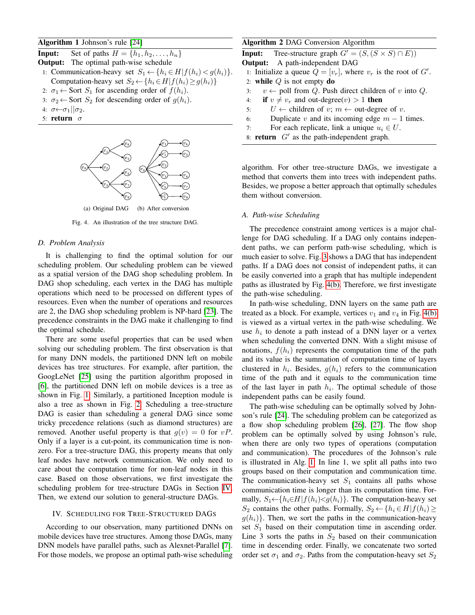## Algorithm 1 Johnson's rule [24]

**Input:** Set of paths  $H = \{h_1, h_2, \ldots, h_n\}$ Output: The optimal path-wise schedule 1: Communication-heavy set  $S_1 \leftarrow \{h_i \in H | f(h_i) < g(h_i)\}.$ Computation-heavy set  $S_2 \leftarrow \{h_i \in H | f(h_i) \ge g(h_i)\}\$ 2:  $\sigma_1 \leftarrow$  Sort  $S_1$  for ascending order of  $f(h_i)$ .

- 3:  $\sigma_2 \leftarrow$  Sort  $S_2$  for descending order of  $g(h_i)$ .
- 4:  $\sigma \leftarrow \sigma_1 || \sigma_2$ .
- 5: return  $\sigma$



Fig. 4. An illustration of the tree structure DAG.

## *D. Problem Analysis*

It is challenging to find the optimal solution for our scheduling problem. Our scheduling problem can be viewed as a spatial version of the DAG shop scheduling problem. In DAG shop scheduling, each vertex in the DAG has multiple operations which need to be processed on different types of resources. Even when the number of operations and resources are 2, the DAG shop scheduling problem is NP-hard  $\overline{23}$ . The precedence constraints in the DAG make it challenging to find the optimal schedule.

There are some useful properties that can be used when solving our scheduling problem. The first observation is that for many DNN models, the partitioned DNN left on mobile devices has tree structures. For example, after partition, the GoogLeNet [25] using the partition algorithm proposed in [6], the partitioned DNN left on mobile devices is a tree as shown in Fig.  $\boxed{1}$  Similarly, a partitioned Inception module is also a tree as shown in Fig.  $\boxed{2}$ . Scheduling a tree-structure DAG is easier than scheduling a general DAG since some tricky precedence relations (such as diamond structures) are removed. Another useful property is that  $g(v)=0$  for  $vP$ . Only if a layer is a cut-point, its communication time is nonzero. For a tree-structure DAG, this property means that only leaf nodes have network communication. We only need to care about the computation time for non-leaf nodes in this case. Based on those observations, we first investigate the scheduling problem for tree-structure DAGs in Section **IV**. Then, we extend our solution to general-structure DAGs.

### IV. SCHEDULING FOR TREE-STRUCTURED DAGS

According to our observation, many partitioned DNNs on mobile devices have tree structures. Among those DAGs, many DNN models have parallel paths, such as Alexnet-Parallel [7]. For those models, we propose an optimal path-wise scheduling

## Algorithm 2 DAG Conversion Algorithm

**Input:** Tree-structure graph  $G' = (S, (S \times S) \cap E))$ <br>Output: A path-independent DAG

Output: A path-independent DAG

- 1: Initialize a queue  $Q = [v_r]$ , where  $v_r$  is the root of  $G'$ .<br>2. while  $Q$  is not empty do.
- 2: **while**  $Q$  is not empty **do**<br>3:  $v \leftarrow$  poll from  $Q$ . Push
- 3:  $v \leftarrow$  poll from Q. Push direct children of v into Q.<br>4: **if**  $v \neq v_r$  and out-degree(v) > 1 **then**
- 4: **if**  $v \neq v_r$  and out-degree(v) > 1 **then**<br>5:  $U \leftarrow$  children of  $v; m \leftarrow$  out-degre
- 5:  $U \leftarrow$  children of v;  $m \leftarrow$  out-degree of v.<br>6: Duplicate v and its incoming edge  $m-1$
- 6: Duplicate v and its incoming edge  $m 1$  times.<br>7: For each replicate, link a unique  $u_i \in U$ .
- For each replicate, link a unique  $u_i \in U$ .
- 8: **return**  $G'$  as the path-independent graph.

algorithm. For other tree-structure DAGs, we investigate a method that converts them into trees with independent paths. Besides, we propose a better approach that optimally schedules them without conversion.

#### *A. Path-wise Scheduling*

The precedence constraint among vertices is a major challenge for DAG scheduling. If a DAG only contains independent paths, we can perform path-wise scheduling, which is much easier to solve. Fig.  $\overline{3}$  shows a DAG that has independent paths. If a DAG does not consist of independent paths, it can be easily converted into a graph that has multiple independent paths as illustrated by Fig.  $\overline{4(b)}$ . Therefore, we first investigate the path-wise scheduling.

In path-wise scheduling, DNN layers on the same path are treated as a block. For example, vertices  $v_1$  and  $v_4$  in Fig. 4(b) is viewed as a virtual vertex in the path-wise scheduling. We use  $h_i$  to denote a path instead of a DNN layer or a vertex when scheduling the converted DNN. With a slight misuse of notations,  $f(h_i)$  represents the computation time of the path and its value is the summation of computation time of layers clustered in  $h_i$ . Besides,  $q(h_i)$  refers to the communication time of the path and it equals to the communication time of the last layer in path  $h_i$ . The optimal schedule of those independent paths can be easily found.

The path-wise scheduling can be optimally solved by Johnson's rule [24]. The scheduling problem can be categorized as a flow shop scheduling problem  $[26]$ ,  $[27]$ . The flow shop problem can be optimally solved by using Johnson's rule, when there are only two types of operations (computation and communication). The procedures of the Johnson's rule is illustrated in Alg.  $\boxed{1}$  In line 1, we split all paths into two groups based on their computation and communication time. The communication-heavy set  $S_1$  contains all paths whose communication time is longer than its computation time. Formally,  $S_1 \leftarrow \{h_i \in H | f(h_i) \leq g(h_i)\}\$ . The computation-heavy set S<sub>2</sub> contains the other paths. Formally,  $S_2 \leftarrow \{h_i \in H | f(h_i) \geq$  $g(h_i)$ . Then, we sort the paths in the communication-heavy set  $S_1$  based on their computation time in ascending order. Line 3 sorts the paths in  $S_2$  based on their communication time in descending order. Finally, we concatenate two sorted order set  $\sigma_1$  and  $\sigma_2$ . Paths from the computation-heavy set  $S_2$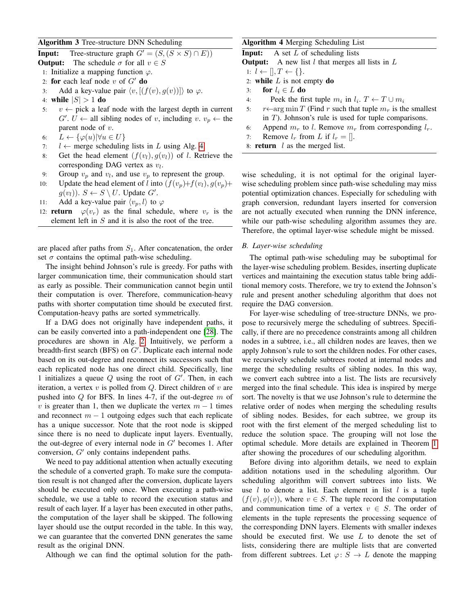# Algorithm 3 Tree-structure DNN Scheduling

**Input:** Tree-structure graph  $G' = (S, (S \times S) \cap E))$ <br>Output: The schedule  $\sigma$  for all  $v \in S$ **Output:** The schedule  $\sigma$  for all  $v \in S$ 

- 1: Initialize a mapping function  $\varphi$ .
- 
- 2: **for** each leaf node v of  $G'$  **do**<br>3. Add a key-value pair /y  $[(1 + \frac{1}{2})]$
- 3: Add a key-value pair  $\langle v, [(f(v), g(v))] \rangle$  to  $\varphi$ .
- 4: while  $|S| > 1$  do<br>5:  $v \leftarrow$  pick a lea
- $v \leftarrow$  pick a leaf node with the largest depth in current  $G'. U \leftarrow$  all sibling nodes of v, including v.  $v_p \leftarrow$  the parent node of v. parent node of  $v$ .
- 6:  $L \leftarrow {\varphi(u) | \forall u \in U}$ <br>7:  $l \leftarrow$  merge schedulin
- 7:  $l \leftarrow$  merge scheduling lists in L using Alg.  $\boxed{4}$ <br>8: Get the head element  $(f(v_l), q(v_l))$  of l. Ret
- Get the head element  $(f(v_l), g(v_l))$  of l. Retrieve the corresponding DAG vertex as  $v_l$ .
- 9: Group  $v_p$  and  $v_l$ , and use  $v_p$  to represent the group.<br>10: Update the head element of l into  $(f(v_p) + f(v_l), g(v_p))$
- Update the head element of l into  $(f(v_p)+f(v_l), g(v_p)+f(v_l))$  $g(v_l)$ ).  $S \leftarrow S \setminus U$ . Update  $G'$ .<br>Add a key-value pair  $\langle v, l \rangle$  to
- 11: Add a key-value pair  $\langle v_p, l \rangle$  to  $\varphi$
- 12: **return**  $\varphi(v_r)$  as the final schedule, where  $v_r$  is the element left in  $S$  and it is also the root of the tree.

are placed after paths from  $S_1$ . After concatenation, the order set  $\sigma$  contains the optimal path-wise scheduling.

The insight behind Johnson's rule is greedy. For paths with larger communication time, their communication should start as early as possible. Their communication cannot begin until their computation is over. Therefore, communication-heavy paths with shorter computation time should be executed first. Computation-heavy paths are sorted symmetrically.

If a DAG does not originally have independent paths, it can be easily converted into a path-independent one  $\sqrt{28}$ . The procedures are shown in Alg.  $\boxed{2}$  Intuitively, we perform a breadth-first search (BFS) on  $G'$ . Duplicate each internal node<br>based on its out-degree and reconnect its successors such that based on its out-degree and reconnect its successors such that each replicated node has one direct child. Specifically, line 1 initializes a queue Q using the root of G'. Then, in each iteration a vertex v is polled from Q Direct children of v are iteration, a vertex  $v$  is polled from  $Q$ . Direct children of  $v$  are pushed into  $Q$  for BFS. In lines 4-7, if the out-degree  $m$  of v is greater than 1, then we duplicate the vertex  $m - 1$  times and reconnect  $m - 1$  outgoing edges such that each replicate has a unique successor. Note that the root node is skipped since there is no need to duplicate input layers. Eventually, the out-degree of every internal node in  $G'$  becomes 1. After<br>conversion  $G'$  only contains independent paths conversion,  $G'$  only contains independent paths.<br>We need to nav additional attention when actual

We need to pay additional attention when actually executing the schedule of a converted graph. To make sure the computation result is not changed after the conversion, duplicate layers should be executed only once. When executing a path-wise schedule, we use a table to record the execution status and result of each layer. If a layer has been executed in other paths, the computation of the layer shall be skipped. The following layer should use the output recorded in the table. In this way, we can guarantee that the converted DNN generates the same result as the original DNN.

Although we can find the optimal solution for the path-

# Algorithm 4 Merging Scheduling List

**Input:** A set L of scheduling lists<br>Output: A new list L that merges

**Output:** A new list l that merges all lists in L<br> $l: l \leftarrow \mathbb{R}$   $T \leftarrow l$ 

- 1:  $l \leftarrow []$ ,  $T \leftarrow \{\}.$ <br>2: **while** *L* is not  $\in$
- 2: **while** *L* is not empty **do**<br>3: **for**  $l_i \in L$  **do**
- 3: **for**  $l_i \in L$  **do**<br>4: **Peek the fin**
- 4: Peek the first tuple  $m_i$  in  $l_i$ .  $T \leftarrow T \cup m_i$ <br>5:  $r \leftarrow \arg \min T$  (Find r such that tuple  $m_r$  is th
- $r \leftarrow \arg \min T$  (Find r such that tuple  $m_r$  is the smallest in T). Johnson's rule is used for tuple comparisons.
- 6: Append  $m_r$  to *l*. Remove  $m_r$  from corresponding  $l_r$ .<br>7: Remove  $l_r$  from *L* if  $l_r = []$ .
- Remove  $l_r$  from L if  $l_r = []$ .
- 8: **return**  $l$  as the merged list.

wise scheduling, it is not optimal for the original layerwise scheduling problem since path-wise scheduling may miss potential optimization chances. Especially for scheduling with graph conversion, redundant layers inserted for conversion are not actually executed when running the DNN inference, while our path-wise scheduling algorithm assumes they are. Therefore, the optimal layer-wise schedule might be missed.

## *B. Layer-wise scheduling*

The optimal path-wise scheduling may be suboptimal for the layer-wise scheduling problem. Besides, inserting duplicate vertices and maintaining the execution status table bring additional memory costs. Therefore, we try to extend the Johnson's rule and present another scheduling algorithm that does not require the DAG conversion.

For layer-wise scheduling of tree-structure DNNs, we propose to recursively merge the scheduling of subtrees. Specifically, if there are no precedence constraints among all children nodes in a subtree, i.e., all children nodes are leaves, then we apply Johnson's rule to sort the children nodes. For other cases, we recursively schedule subtrees rooted at internal nodes and merge the scheduling results of sibling nodes. In this way, we convert each subtree into a list. The lists are recursively merged into the final schedule. This idea is inspired by merge sort. The novelty is that we use Johnson's rule to determine the relative order of nodes when merging the scheduling results of sibling nodes. Besides, for each subtree, we group its root with the first element of the merged scheduling list to reduce the solution space. The grouping will not lose the optimal schedule. More details are explained in Theorem  $\boxed{1}$ after showing the procedures of our scheduling algorithm.

Before diving into algorithm details, we need to explain addition notations used in the scheduling algorithm. Our scheduling algorithm will convert subtrees into lists. We use  $l$  to denote a list. Each element in list  $l$  is a tuple  $(f(v), g(v))$ , where  $v \in S$ . The tuple record the computation and communication time of a vertex  $v \in S$ . The order of elements in the tuple represents the processing sequence of the corresponding DNN layers. Elements with smaller indexes should be executed first. We use  $L$  to denote the set of lists, considering there are multiple lists that are converted from different subtrees. Let  $\varphi: S \to L$  denote the mapping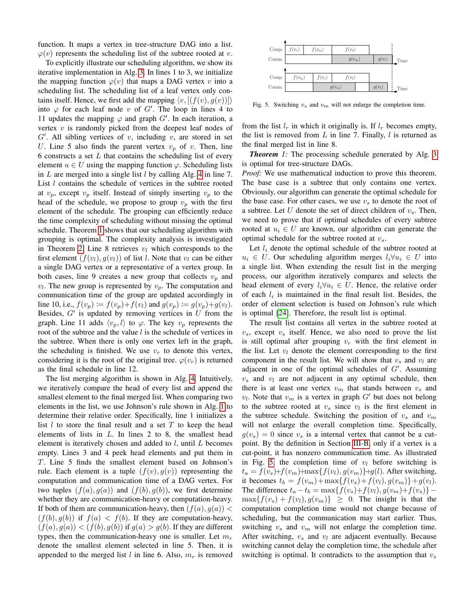function. It maps a vertex in tree-structure DAG into a list.  $\varphi(v)$  represents the scheduling list of the subtree rooted at v.

To explicitly illustrate our scheduling algorithm, we show its iterative implementation in Alg.  $\boxed{3}$  In lines 1 to 3, we initialize the mapping function  $\varphi(v)$  that maps a DAG vertex v into a scheduling list. The scheduling list of a leaf vertex only contains itself. Hence, we first add the mapping  $\langle v, [(f(v), q(v))] \rangle$ into  $\varphi$  for each leaf node v of G'. The loop in lines 4 to 11 undates the manning  $\varphi$  and graph  $G'$ . In each iteration a 11 updates the mapping  $\varphi$  and graph G'. In each iteration, a<br>vertex v is randomly picked from the deepest leaf nodes of vertex  $v$  is randomly picked from the deepest leaf nodes of  $G'$ . All sibling vertices of v, including v, are stored in set  $U$ . Line 5 also finds the parent vertex v, of v. Then, line U. Line 5 also finds the parent vertex  $v_p$  of v. Then, line 6 constructs a set  $L$  that contains the scheduling list of every element  $u \in U$  using the mapping function  $\varphi$ . Scheduling lists in L are merged into a single list l by calling Alg.  $\overline{4}$  in line 7. List  $l$  contains the schedule of vertices in the subtree rooted at  $v_p$ , except  $v_p$  itself. Instead of simply inserting  $v_p$  to the head of the schedule, we propose to group  $v_p$  with the first element of the schedule. The grouping can efficiently reduce the time complexity of scheduling without missing the optimal schedule. Theorem  $\sqrt{1}$  shows that our scheduling algorithm with grouping is optimal. The complexity analysis is investigated in Theorem  $\boxed{2}$  Line 8 retrieves  $v_l$  which corresponds to the first element  $(f(v_l), q(v_l))$  of list l. Note that  $v_l$  can be either a single DAG vertex or a representative of a vertex group. In both cases, line 9 creates a new group that collects  $v_p$  and  $v_l$ . The new group is represented by  $v_p$ . The computation and communication time of the group are updated accordingly in line 10, i.e.,  $f(v_p) := f(v_p) + f(v_l)$  and  $g(v_p) := g(v_p) + g(v_l)$ . Besides,  $G'$  is updated by removing vertices in U from the graph I ine 11 adds  $\langle v, J \rangle$  to  $\langle \varphi \rangle$ . The key  $v$  represents the graph. Line 11 adds  $\langle v_p, l \rangle$  to  $\varphi$ . The key  $v_p$  represents the root of the subtree and the value  $l$  is the schedule of vertices in the subtree. When there is only one vertex left in the graph, the scheduling is finished. We use  $v_r$  to denote this vertex, considering it is the root of the original tree.  $\varphi(v_r)$  is returned as the final schedule in line 12.

The list merging algorithm is shown in Alg.  $|4|$  Intuitively, we iteratively compare the head of every list and append the smallest element to the final merged list. When comparing two elements in the list, we use Johnson's rule shown in Alg.  $\boxed{1}$  to determine their relative order. Specifically, line 1 initializes a list  $l$  to store the final result and a set  $T$  to keep the head elements of lists in  $L$ . In lines 2 to 8, the smallest head element is iteratively chosen and added to  $l$ , until  $L$  becomes empty. Lines 3 and 4 peek head elements and put them in T. Line 5 finds the smallest element based on Johnson's rule. Each element is a tuple  $(f(v), g(v))$  representing the computation and communication time of a DAG vertex. For two tuples  $(f(a), g(a))$  and  $(f(b), g(b))$ , we first determine whether they are communication-heavy or computation-heavy. If both of them are communication-heavy, then  $(f(a), g(a))$  <  $(f(b), g(b))$  if  $f(a) < f(b)$ . If they are computation-heavy,  $(f(a), g(a)) < (f(b), g(b))$  if  $g(a) > g(b)$ . If they are different types, then the communication-heavy one is smaller. Let  $m_r$ denote the smallest element selected in line 5. Then, it is appended to the merged list l in line 6. Also,  $m_r$  is removed



Fig. 5. Switching  $v_s$  and  $v_m$  will not enlarge the completion time.

from the list  $l_r$  in which it originally is. If  $l_r$  becomes empty, the list is removed from  $L$  in line 7. Finally,  $l$  is returned as the final merged list in line 8.

**Theorem** 1: The processing schedule generated by Alg.  $\overline{3}$ is optimal for tree-structure DAGs.

*Proof:* We use mathematical induction to prove this theorem. The base case is a subtree that only contains one vertex. Obviously, our algorithm can generate the optimal schedule for the base case. For other cases, we use  $v<sub>s</sub>$  to denote the root of a subtree. Let U denote the set of direct children of  $v_s$ . Then, we need to prove that if optimal schedules of every subtree rooted at  $u_i \in U$  are known, our algorithm can generate the optimal schedule for the subtree rooted at  $v_s$ .

Let  $l_i$  denote the optimal schedule of the subtree rooted at  $u_i \in U$ . Our scheduling algorithm merges  $l_i \forall u_i \in U$  into a single list. When extending the result list in the merging process, our algorithm iteratively compares and selects the head element of every  $l_i \forall u_i \in U$ . Hence, the relative order of each  $l_i$  is maintained in the final result list. Besides, the order of element selection is based on Johnson's rule which is optimal [24]. Therefore, the result list is optimal.

The result list contains all vertex in the subtree rooted at  $v_s$ , except  $v_s$  itself. Hence, we also need to prove the list is still optimal after grouping  $v_r$  with the first element in the list. Let  $v_l$  denote the element corresponding to the first component in the result list. We will show that  $v_s$  and  $v_l$  are adjacent in one of the optimal schedules of  $G'$ . Assuming<br>21. and 21. are not adjacent in any optimal schedule, then  $v_s$  and  $v_l$  are not adjacent in any optimal schedule, then there is at least one vertex  $v_m$  that stands between  $v_s$  and  $v_l$ . Note that  $v_m$  is a vertex in graph G' but does not belong<br>to the subtree rooted at  $v_l$  since  $v_l$  is the first element in to the subtree rooted at  $v_s$  since  $v_l$  is the first element in the subtree schedule. Switching the position of  $v_s$  and  $v_m$ will not enlarge the overall completion time. Specifically,  $g(v_s)=0$  since  $v_s$  is a internal vertex that cannot be a cutpoint. By the definition in Section  $\overline{III-B}$  only if a vertex is a cut-point, it has nonzero communication time. As illustrated in Fig.  $\overline{5}$ , the completion time of  $v_l$  before switching is  $t_a = f(v_s) + f(v_m) + \max\{f(v_l), g(v_m)\} + g(l)$ . After switching, it becomes  $t_b = f(v_m) + \max\{f(v_s) + f(v_l), g(v_m)\} + g(v_l).$ The difference  $t_a - t_b = \max\{f(v_s) + f(v_l), g(v_m) + f(v_s)\}$  –  $\max\{f(v_s) + f(v_l), g(v_m)\}\geq 0$ . The insight is that the computation completion time would not change because of scheduling, but the communication may start earlier. Thus, switching  $v_s$  and  $v_m$  will not enlarge the completion time. After switching,  $v_s$  and  $v_l$  are adjacent eventually. Because switching cannot delay the completion time, the schedule after switching is optimal. It contradicts to the assumption that  $v_s$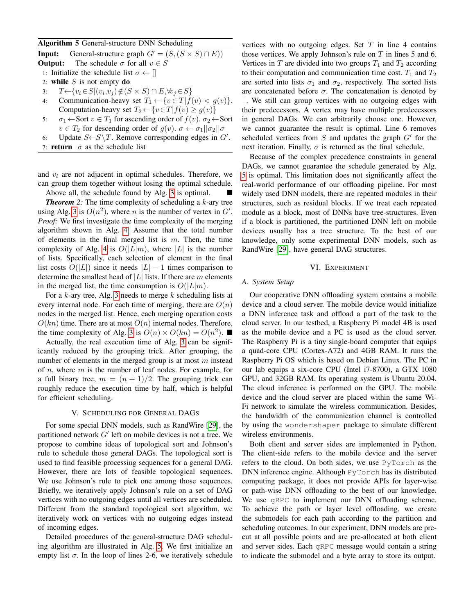## Algorithm 5 General-structure DNN Scheduling

**Input:** General-structure graph  $G' = (S, (S \times S) \cap E))$ <br>Output: The schedule  $\sigma$  for all  $v \in S$ **Output:** The schedule  $\sigma$  for all  $v \in S$ 1: Initialize the schedule list  $\sigma \leftarrow []$ <br>2: **while** S is not empty **do** 2: while S is not empty do<br>3:  $T \leftarrow \{v_i \in S | (v_i, v_j) \notin (S) \}$ 3:  $T \leftarrow \{v_i \in S | (v_i, v_j) \notin (S \times S) \cap E, \forall v_j \in S \}$ <br>4: Communication-heavy set  $T_1 \leftarrow \{v \in T | f$ Communication-heavy set  $T_1 \leftarrow \{v \in T | f(v) < g(v)\}.$ Computation-heavy set  $T_2 \leftarrow \{v \in T | f(v) \ge g(v)\}$ 5:  $\sigma_1 \leftarrow$  Sort  $v \in T_1$  for ascending order of  $f(v)$ .  $\sigma_2 \leftarrow$  Sort  $v \in T_2$  for descending order of  $g(v)$ .  $\sigma \leftarrow \sigma_1 || \sigma_2 || \sigma$ 6: Update *S*←S \*T*. Remove corresponding edges in *G'*.

7: **return**  $\sigma$  as the schedule list

and  $v_l$  are not adjacent in optimal schedules. Therefore, we can group them together without losing the optimal schedule.

Above all, the schedule found by Alg.  $\overline{3}$  is optimal. *Theorem* 2: The time complexity of scheduling a k-ary tree using Alg.  $\overline{3}$  is  $O(n^2)$ , where *n* is the number of vertex in G'.<br>*Proof:* We first investigate the time complexity of the merging *Proof:* We first investigate the time complexity of the merging algorithm shown in Alg.  $\overline{4}$  Assume that the total number of elements in the final merged list is  $m$ . Then, the time complexity of Alg.  $\overline{4}$  is  $O(|L|m)$ , where |L| is the number of lists. Specifically, each selection of element in the final list costs  $O(|L|)$  since it needs  $|L| - 1$  times comparison to determine the smallest head of  $|L|$  lists. If there are m elements in the merged list, the time consumption is  $O(|L|m)$ .

For a k-ary tree, Alg.  $\overline{3}$  needs to merge k scheduling lists at every internal node. For each time of merging, there are  $O(n)$ nodes in the merged list. Hence, each merging operation costs  $O(kn)$  time. There are at most  $O(n)$  internal nodes. Therefore, the time complexity of Alg.  $3$  is  $O(n) \times O(kn) = O(n^2)$ .

Actually, the real execution time of Alg.  $\overline{3}$  can be significantly reduced by the grouping trick. After grouping, the number of elements in the merged group is at most  $m$  instead of  $n$ , where  $m$  is the number of leaf nodes. For example, for a full binary tree,  $m = (n + 1)/2$ . The grouping trick can roughly reduce the execution time by half, which is helpful for efficient scheduling.

## V. SCHEDULING FOR GENERAL DAGS

For some special DNN models, such as RandWire [29], the partitioned network  $G'$  left on mobile devices is not a tree. We<br>propose to combine ideas of topological sort and Johnson's propose to combine ideas of topological sort and Johnson's rule to schedule those general DAGs. The topological sort is used to find feasible processing sequences for a general DAG. However, there are lots of feasible topological sequences. We use Johnson's rule to pick one among those sequences. Briefly, we iteratively apply Johnson's rule on a set of DAG vertices with no outgoing edges until all vertices are scheduled. Different from the standard topological sort algorithm, we iteratively work on vertices with no outgoing edges instead of incoming edges.

Detailed procedures of the general-structure DAG scheduling algorithm are illustrated in Alg.  $\overline{5}$ . We first initialize an empty list  $\sigma$ . In the loop of lines 2-6, we iteratively schedule

vertices with no outgoing edges. Set  $T$  in line 4 contains those vertices. We apply Johnson's rule on  $T$  in lines 5 and 6. Vertices in T are divided into two groups  $T_1$  and  $T_2$  according to their computation and communication time cost.  $T_1$  and  $T_2$ are sorted into lists  $\sigma_1$  and  $\sigma_2$ , respectively. The sorted lists are concatenated before  $\sigma$ . The concatenation is denoted by ||. We still can group vertices with no outgoing edges with their predecessors. A vertex may have multiple predecessors in general DAGs. We can arbitrarily choose one. However, we cannot guarantee the result is optimal. Line 6 removes scheduled vertices from S and updates the graph  $G'$  for the next iteration. Finally,  $\sigma$  is returned as the final schedule. next iteration. Finally,  $\sigma$  is returned as the final schedule.

Because of the complex precedence constraints in general DAGs, we cannot guarantee the schedule generated by Alg.  $\overline{5}$  is optimal. This limitation does not significantly affect the real-world performance of our offloading pipeline. For most widely used DNN models, there are repeated modules in their structures, such as residual blocks. If we treat each repeated module as a block, most of DNNs have tree-structures. Even if a block is partitioned, the partitioned DNN left on mobile devices usually has a tree structure. To the best of our knowledge, only some experimental DNN models, such as RandWire [29], have general DAG structures.

#### VI. EXPERIMENT

## *A. System Setup*

Our cooperative DNN offloading system contains a mobile device and a cloud server. The mobile device would initialize a DNN inference task and offload a part of the task to the cloud server. In our testbed, a Raspberry Pi model 4B is used as the mobile device and a PC is used as the cloud server. The Raspberry Pi is a tiny single-board computer that equips a quad-core CPU (Cortex-A72) and 4GB RAM. It runs the Raspberry Pi OS which is based on Debian Linux. The PC in our lab equips a six-core CPU (Intel i7-8700), a GTX 1080 GPU, and 32GB RAM. Its operating system is Ubuntu 20.04. The cloud inference is performed on the GPU. The mobile device and the cloud server are placed within the same Wi-Fi network to simulate the wireless communication. Besides, the bandwidth of the communication channel is controlled by using the wondershaper package to simulate different wireless environments.

Both client and server sides are implemented in Python. The client-side refers to the mobile device and the server refers to the cloud. On both sides, we use PyTorch as the DNN inference engine. Although PyTorch has its distributed computing package, it does not provide APIs for layer-wise or path-wise DNN offloading to the best of our knowledge. We use **gRPC** to implement our DNN offloading scheme. To achieve the path or layer level offloading, we create the submodels for each path according to the partition and scheduling outcomes. In our experiment, DNN models are precut at all possible points and are pre-allocated at both client and server sides. Each gRPC message would contain a string to indicate the submodel and a byte array to store its output.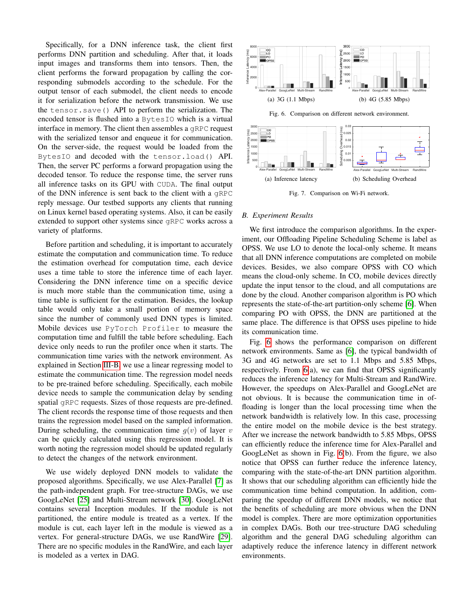Specifically, for a DNN inference task, the client first performs DNN partition and scheduling. After that, it loads input images and transforms them into tensors. Then, the client performs the forward propagation by calling the corresponding submodels according to the schedule. For the output tensor of each submodel, the client needs to encode it for serialization before the network transmission. We use the tensor.save() API to perform the serialization. The encoded tensor is flushed into a BytesIO which is a virtual interface in memory. The client then assembles a gRPC request with the serialized tensor and enqueue it for communication. On the server-side, the request would be loaded from the BytesIO and decoded with the tensor.load() API. Then, the server PC performs a forward propagation using the decoded tensor. To reduce the response time, the server runs all inference tasks on its GPU with CUDA. The final output of the DNN inference is sent back to the client with a gRPC reply message. Our testbed supports any clients that running on Linux kernel based operating systems. Also, it can be easily extended to support other systems since gRPC works across a variety of platforms.

Before partition and scheduling, it is important to accurately estimate the computation and communication time. To reduce the estimation overhead for computation time, each device uses a time table to store the inference time of each layer. Considering the DNN inference time on a specific device is much more stable than the communication time, using a time table is sufficient for the estimation. Besides, the lookup table would only take a small portion of memory space since the number of commonly used DNN types is limited. Mobile devices use PyTorch Profiler to measure the computation time and fulfill the table before scheduling. Each device only needs to run the profiler once when it starts. The communication time varies with the network environment. As explained in Section  $\overline{III-B}$ , we use a linear regressing model to estimate the communication time. The regression model needs to be pre-trained before scheduling. Specifically, each mobile device needs to sample the communication delay by sending spatial gRPC requests. Sizes of those requests are pre-defined. The client records the response time of those requests and then trains the regression model based on the sampled information. During scheduling, the communication time  $q(v)$  of layer v can be quickly calculated using this regression model. It is worth noting the regression model should be updated regularly to detect the changes of the network environment.

We use widely deployed DNN models to validate the proposed algorithms. Specifically, we use Alex-Parallel [7] as the path-independent graph. For tree-structure DAGs, we use GoogLeNet [25] and Multi-Stream network [30]. GoogLeNet contains several Inception modules. If the module is not partitioned, the entire module is treated as a vertex. If the module is cut, each layer left in the module is viewed as a vertex. For general-structure DAGs, we use RandWire [29]. There are no specific modules in the RandWire, and each layer is modeled as a vertex in DAG.



Fig. 7. Comparison on Wi-Fi network.

#### *B. Experiment Results*

We first introduce the comparison algorithms. In the experiment, our Offloading Pipeline Scheduling Scheme is label as OPSS. We use LO to denote the local-only scheme. It means that all DNN inference computations are completed on mobile devices. Besides, we also compare OPSS with CO which means the cloud-only scheme. In CO, mobile devices directly update the input tensor to the cloud, and all computations are done by the cloud. Another comparison algorithm is PO which represents the state-of-the-art partition-only scheme  $\overline{6}$ . When comparing PO with OPSS, the DNN are partitioned at the same place. The difference is that OPSS uses pipeline to hide its communication time.

Fig. 6 shows the performance comparison on different network environments. Same as  $\overline{6}$ , the typical bandwidth of 3G and 4G networks are set to 1.1 Mbps and 5.85 Mbps, respectively. From  $\overline{6}$ (a), we can find that OPSS significantly reduces the inference latency for Multi-Stream and RandWire. However, the speedups on Alex-Parallel and GoogLeNet are not obvious. It is because the communication time in offloading is longer than the local processing time when the network bandwidth is relatively low. In this case, processing the entire model on the mobile device is the best strategy. After we increase the network bandwidth to 5.85 Mbps, OPSS can efficiently reduce the inference time for Alex-Parallel and GoogLeNet as shown in Fig.  $\overline{6}$ (b). From the figure, we also notice that OPSS can further reduce the inference latency, comparing with the state-of-the-art DNN partition algorithm. It shows that our scheduling algorithm can efficiently hide the communication time behind computation. In addition, comparing the speedup of different DNN models, we notice that the benefits of scheduling are more obvious when the DNN model is complex. There are more optimization opportunities in complex DAGs. Both our tree-structure DAG scheduling algorithm and the general DAG scheduling algorithm can adaptively reduce the inference latency in different network environments.